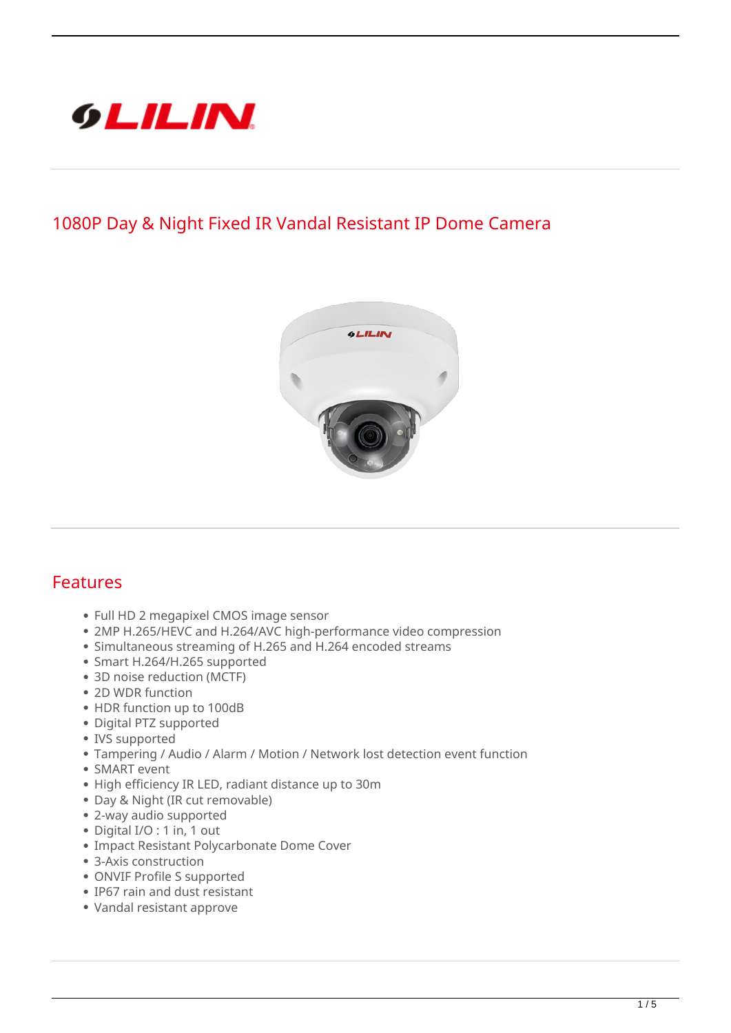

## **1080P Day & Night Fixed IR Vandal Resistant IP Dome Camera**



## **Features**

- Full HD 2 megapixel CMOS image sensor
- 2MP H.265/HEVC and H.264/AVC high-performance video compression
- Simultaneous streaming of H.265 and H.264 encoded streams
- Smart H.264/H.265 supported
- 3D noise reduction (MCTF)
- 2D WDR function
- HDR function up to 100dB
- Digital PTZ supported
- IVS supported
- Tampering / Audio / Alarm / Motion / Network lost detection event function
- SMART event
- High efficiency IR LED, radiant distance up to 30m
- Day & Night (IR cut removable)
- 2-way audio supported
- Digital I/O : 1 in, 1 out
- Impact Resistant Polycarbonate Dome Cover
- 3-Axis construction
- ONVIF Profile S supported
- IP67 rain and dust resistant
- Vandal resistant approve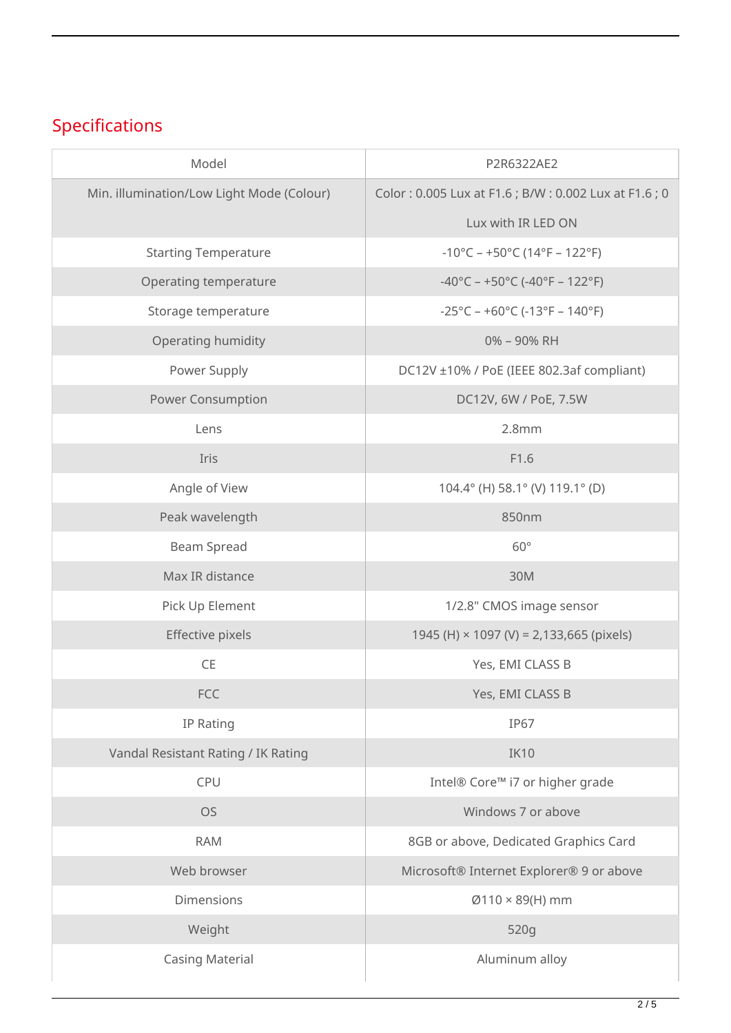## **Specifications**

| Model                                     | P2R6322AE2                                                               |
|-------------------------------------------|--------------------------------------------------------------------------|
| Min. illumination/Low Light Mode (Colour) | Color: 0.005 Lux at F1.6; B/W: 0.002 Lux at F1.6; 0                      |
|                                           | Lux with IR LED ON                                                       |
| <b>Starting Temperature</b>               | $-10^{\circ}$ C – +50 $^{\circ}$ C (14 $^{\circ}$ F – 122 $^{\circ}$ F)  |
| Operating temperature                     | $-40^{\circ}$ C – +50 $^{\circ}$ C (-40 $^{\circ}$ F – 122 $^{\circ}$ F) |
| Storage temperature                       | $-25^{\circ}$ C – +60 $^{\circ}$ C (-13 $^{\circ}$ F – 140 $^{\circ}$ F) |
| Operating humidity                        | 0% - 90% RH                                                              |
| Power Supply                              | DC12V ±10% / PoE (IEEE 802.3af compliant)                                |
| <b>Power Consumption</b>                  | DC12V, 6W / PoE, 7.5W                                                    |
| Lens                                      | 2.8mm                                                                    |
| Iris                                      | F1.6                                                                     |
| Angle of View                             | 104.4° (H) 58.1° (V) 119.1° (D)                                          |
| Peak wavelength                           | 850nm                                                                    |
| Beam Spread                               | $60^\circ$                                                               |
| Max IR distance                           | 30M                                                                      |
| Pick Up Element                           | 1/2.8" CMOS image sensor                                                 |
| Effective pixels                          | 1945 (H) $\times$ 1097 (V) = 2,133,665 (pixels)                          |
| <b>CE</b>                                 | Yes, EMI CLASS B                                                         |
| <b>FCC</b>                                | Yes, EMI CLASS B                                                         |
| IP Rating                                 | <b>IP67</b>                                                              |
| Vandal Resistant Rating / IK Rating       | <b>IK10</b>                                                              |
| CPU                                       | Intel® Core™ i7 or higher grade                                          |
| <b>OS</b>                                 | Windows 7 or above                                                       |
| <b>RAM</b>                                | 8GB or above, Dedicated Graphics Card                                    |
| Web browser                               | Microsoft® Internet Explorer® 9 or above                                 |
| Dimensions                                | $Ø110 \times 89$ (H) mm                                                  |
| Weight                                    | 520g                                                                     |
| <b>Casing Material</b>                    | Aluminum alloy                                                           |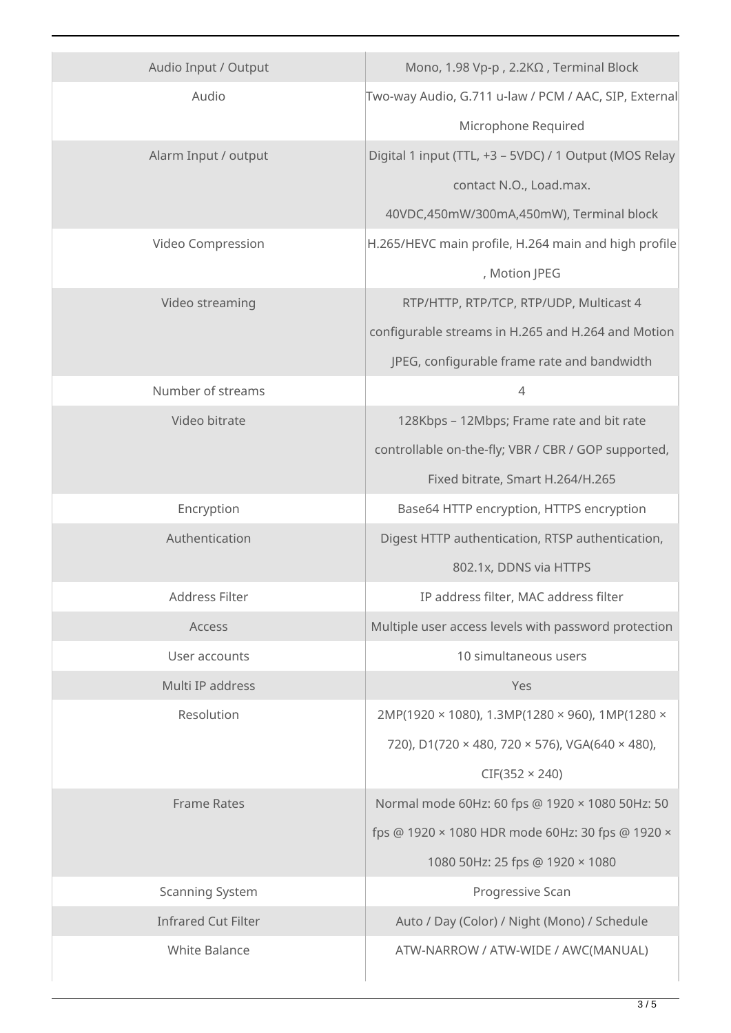| Audio Input / Output       | Mono, 1.98 Vp-p, 2.2ΚΩ, Terminal Block                 |
|----------------------------|--------------------------------------------------------|
| Audio                      | Two-way Audio, G.711 u-law / PCM / AAC, SIP, External  |
|                            | Microphone Required                                    |
| Alarm Input / output       | Digital 1 input (TTL, +3 - 5VDC) / 1 Output (MOS Relay |
|                            | contact N.O., Load.max.                                |
|                            | 40VDC,450mW/300mA,450mW), Terminal block               |
| Video Compression          | H.265/HEVC main profile, H.264 main and high profile   |
|                            | , Motion JPEG                                          |
| Video streaming            | RTP/HTTP, RTP/TCP, RTP/UDP, Multicast 4                |
|                            | configurable streams in H.265 and H.264 and Motion     |
|                            | JPEG, configurable frame rate and bandwidth            |
| Number of streams          | $\overline{4}$                                         |
| Video bitrate              | 128Kbps - 12Mbps; Frame rate and bit rate              |
|                            | controllable on-the-fly; VBR / CBR / GOP supported,    |
|                            | Fixed bitrate, Smart H.264/H.265                       |
| Encryption                 | Base64 HTTP encryption, HTTPS encryption               |
| Authentication             | Digest HTTP authentication, RTSP authentication,       |
|                            | 802.1x, DDNS via HTTPS                                 |
| <b>Address Filter</b>      | IP address filter, MAC address filter                  |
| Access                     | Multiple user access levels with password protection   |
| User accounts              | 10 simultaneous users                                  |
| Multi IP address           | Yes                                                    |
| Resolution                 | 2MP(1920 × 1080), 1.3MP(1280 × 960), 1MP(1280 ×        |
|                            | 720), D1(720 × 480, 720 × 576), VGA(640 × 480),        |
|                            | $CIF(352 \times 240)$                                  |
| <b>Frame Rates</b>         | Normal mode 60Hz: 60 fps @ 1920 × 1080 50Hz: 50        |
|                            | fps @ 1920 × 1080 HDR mode 60Hz: 30 fps @ 1920 ×       |
|                            | 1080 50Hz: 25 fps @ 1920 × 1080                        |
| <b>Scanning System</b>     | Progressive Scan                                       |
| <b>Infrared Cut Filter</b> | Auto / Day (Color) / Night (Mono) / Schedule           |
| <b>White Balance</b>       | ATW-NARROW / ATW-WIDE / AWC(MANUAL)                    |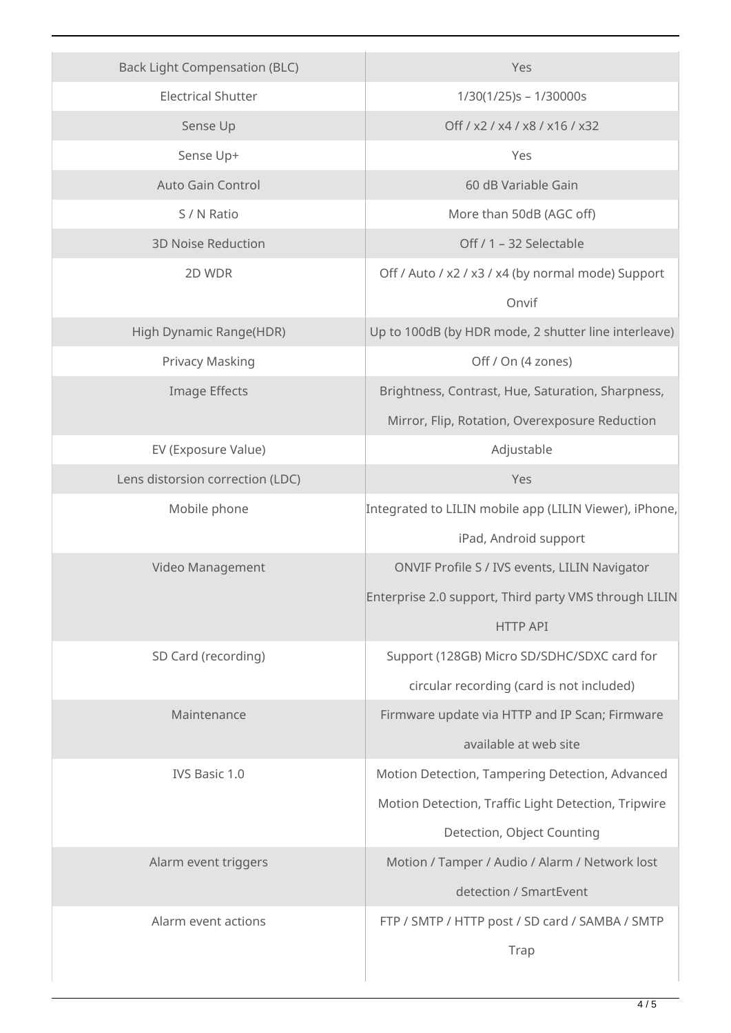| <b>Back Light Compensation (BLC)</b> | Yes                                                    |
|--------------------------------------|--------------------------------------------------------|
| <b>Electrical Shutter</b>            | $1/30(1/25)s - 1/30000s$                               |
| Sense Up                             | Off / x2 / x4 / x8 / x16 / x32                         |
| Sense Up+                            | Yes                                                    |
| <b>Auto Gain Control</b>             | 60 dB Variable Gain                                    |
| S / N Ratio                          | More than 50dB (AGC off)                               |
| <b>3D Noise Reduction</b>            | Off / 1 - 32 Selectable                                |
| 2D WDR                               | Off / Auto / x2 / x3 / x4 (by normal mode) Support     |
|                                      | Onvif                                                  |
| High Dynamic Range(HDR)              | Up to 100dB (by HDR mode, 2 shutter line interleave)   |
| Privacy Masking                      | Off / On (4 zones)                                     |
| Image Effects                        | Brightness, Contrast, Hue, Saturation, Sharpness,      |
|                                      | Mirror, Flip, Rotation, Overexposure Reduction         |
| EV (Exposure Value)                  | Adjustable                                             |
| Lens distorsion correction (LDC)     | Yes                                                    |
| Mobile phone                         | Integrated to LILIN mobile app (LILIN Viewer), iPhone, |
|                                      | iPad, Android support                                  |
| Video Management                     | ONVIF Profile S / IVS events, LILIN Navigator          |
|                                      | Enterprise 2.0 support, Third party VMS through LILIN  |
|                                      | <b>HTTP API</b>                                        |
| SD Card (recording)                  | Support (128GB) Micro SD/SDHC/SDXC card for            |
|                                      | circular recording (card is not included)              |
| Maintenance                          | Firmware update via HTTP and IP Scan; Firmware         |
|                                      | available at web site                                  |
| IVS Basic 1.0                        | Motion Detection, Tampering Detection, Advanced        |
|                                      | Motion Detection, Traffic Light Detection, Tripwire    |
|                                      | Detection, Object Counting                             |
| Alarm event triggers                 | Motion / Tamper / Audio / Alarm / Network lost         |
|                                      | detection / SmartEvent                                 |
| Alarm event actions                  | FTP / SMTP / HTTP post / SD card / SAMBA / SMTP        |
|                                      | Trap                                                   |
|                                      |                                                        |